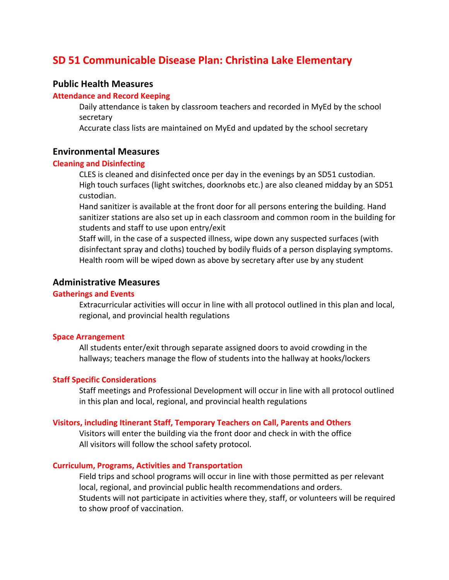# **SD 51 Communicable Disease Plan: Christina Lake Elementary**

## **Public Health Measures**

## **Attendance and Record Keeping**

 Daily attendance is taken by classroom teachers and recorded in MyEd by the school secretary

Accurate class lists are maintained on MyEd and updated by the school secretary

## **Environmental Measures**

#### **Cleaning and Disinfecting**

 CLES is cleaned and disinfected once per day in the evenings by an SD51 custodian. High touch surfaces (light switches, doorknobs etc.) are also cleaned midday by an SD51 custodian.

 Hand sanitizer is available at the front door for all persons entering the building. Hand sanitizer stations are also set up in each classroom and common room in the building for students and staff to use upon entry/exit

 Staff will, in the case of a suspected illness, wipe down any suspected surfaces (with disinfectant spray and cloths) touched by bodily fluids of a person displaying symptoms. Health room will be wiped down as above by secretary after use by any student

## **Administrative Measures**

## **Gatherings and Events**

 Extracurricular activities will occur in line with all protocol outlined in this plan and local, regional, and provincial health regulations

#### **Space Arrangement**

 All students enter/exit through separate assigned doors to avoid crowding in the hallways; teachers manage the flow of students into the hallway at hooks/lockers

#### **Staff Specific Considerations**

 Staff meetings and Professional Development will occur in line with all protocol outlined in this plan and local, regional, and provincial health regulations

#### **Visitors, including Itinerant Staff, Temporary Teachers on Call, Parents and Others**

 Visitors will enter the building via the front door and check in with the office All visitors will follow the school safety protocol.

#### **Curriculum, Programs, Activities and Transportation**

 Field trips and school programs will occur in line with those permitted as per relevant local, regional, and provincial public health recommendations and orders. Students will not participate in activities where they, staff, or volunteers will be required to show proof of vaccination.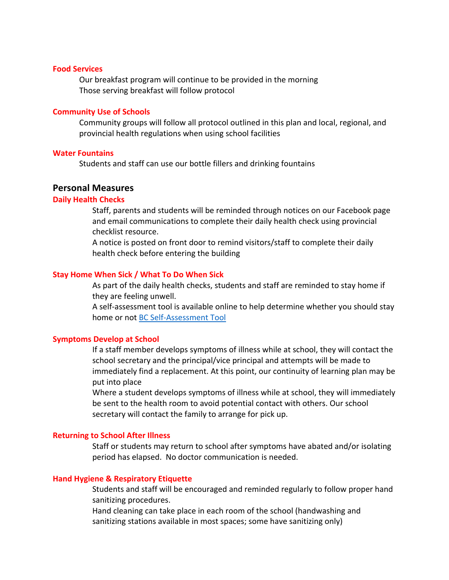#### **Food Services**

 Our breakfast program will continue to be provided in the morning Those serving breakfast will follow protocol

#### **Community Use of Schools**

 Community groups will follow all protocol outlined in this plan and local, regional, and provincial health regulations when using school facilities

#### **Water Fountains**

Students and staff can use our bottle fillers and drinking fountains

#### **Personal Measures**

### **Daily Health Checks**

 Staff, parents and students will be reminded through notices on our Facebook page and email communications to complete their daily health check using provincial checklist resource.

 A notice is posted on front door to remind visitors/staff to complete their daily health check before entering the building

#### **Stay Home When Sick / What To Do When Sick**

 As part of the daily health checks, students and staff are reminded to stay home if they are feeling unwell.

 A self-assessment tool is available online to help determine whether you should stay home or not BC Self-Assessment Tool

## **Symptoms Develop at School**

 If a staff member develops symptoms of illness while at school, they will contact the school secretary and the principal/vice principal and attempts will be made to immediately find a replacement. At this point, our continuity of learning plan may be put into place

 Where a student develops symptoms of illness while at school, they will immediately be sent to the health room to avoid potential contact with others. Our school secretary will contact the family to arrange for pick up.

#### **Returning to School After Illness**

 Staff or students may return to school after symptoms have abated and/or isolating period has elapsed. No doctor communication is needed.

#### **Hand Hygiene & Respiratory Etiquette**

 Students and staff will be encouraged and reminded regularly to follow proper hand sanitizing procedures.

 Hand cleaning can take place in each room of the school (handwashing and sanitizing stations available in most spaces; some have sanitizing only)